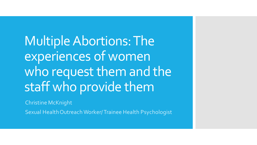Multiple Abortions: The experiences of women who request them and the staff who provide them

Christine McKnight

Sexual Health Outreach Worker/ Trainee Health Psychologist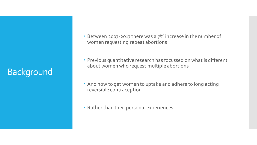## Background

- Between 2007-2017 there was a 7% increase in the number of women requesting repeat abortions
- Previous quantitative research has focussed on what is different about women who request multiple abortions
- And how to get women to uptake and adhere to long acting reversible contraception
- Rather than their personal experiences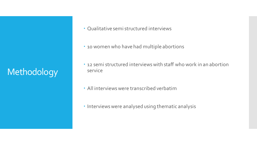# Methodology

- Qualitative semi structured interviews
- 10 women who have had multiple abortions
- 12 semi structured interviews with staff who work in an abortion service
- All interviews were transcribed verbatim
- Interviews were analysed using thematic analysis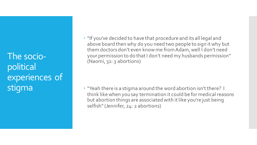The sociopolitical experiences of stigma

 "If you've decided to have that procedure and its all legal and above board then why do you need two people to sign it why but them doctors don't even know me from Adam, well I don't need your permission to do that I don't need my husbands permission" (Naomi, 32: 3 abortions)

 "Yeah there is a stigma around the word abortion isn't there? I think like when you say termination it could be for medical reasons but abortion things are associated with it like you're just being selfish" (Jennifer, 24: 2 abortions)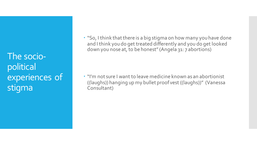The sociopolitical experiences of stigma

 "So, I think that there is a big stigma on how many you have done and I think you do get treated differently and you do get looked down you nose at, to be honest" (Angela 31: 7 abortions)

 "I'm not sure I want to leave medicine known as an abortionist ((laughs)) hanging up my bullet proof vest ((laughs))" (Vanessa Consultant)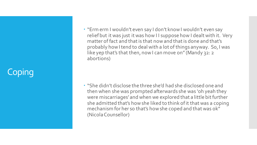## **Coping**

 "Erm erm I wouldn't even say I don't know I wouldn't even say relief but it was just it was how I I suppose how I dealt with it. Very matter of fact and that is that now and that is done and that's probably how I tend to deal with a lot of things anyway. So, I was like yep that's that then, now I can move on" (Mandy 32: 2 abortions)

 "She didn't disclose the three she'd had she disclosed one and then when she was prompted afterwards she was 'oh yeah they were miscarriages' and when we explored that a little bit further she admitted that's how she liked to think of it that was a coping mechanism for her so that's how she coped and that was ok" (Nicola Counsellor)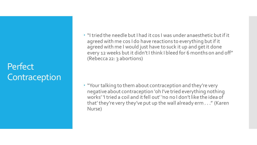### **Perfect Contraception**

 "I tried the needle but I had it cos I was under anaesthetic but if it agreed with me cos I do have reactions to everything but if it agreed with me I would just have to suck it up and get it done every 12 weeks but it didn't I think I bleed for 6 months on and off" (Rebecca 22: 3 abortions)

 "Your talking to them about contraception and they're very negative about contraception 'oh I've tried everything nothing works' 'I tried a coil and it fell out' 'no no I don't like the idea of that' they're very they've put up the wall already erm . . ." (Karen Nurse)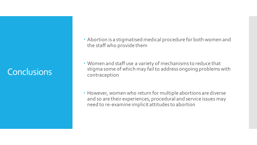### Conclusions

- Abortion is a stigmatised medical procedure for both women and the staff who provide them
- Women and staff use a variety of mechanisms to reduce that stigma some of which may fail to address ongoing problems with contraception
- However, women who return for multiple abortions are diverse and so are their experiences, procedural and service issues may need to re-examine implicit attitudes to abortion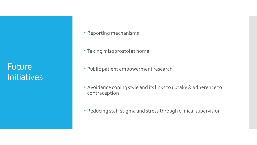Future **Initiatives** 

- Reporting mechanisms
- Taking misoprostol at home
- Public patient empowerment research
- Avoidance coping style and its links to uptake & adherence to contraception
- Reducing staff stigma and stress through clinical supervision